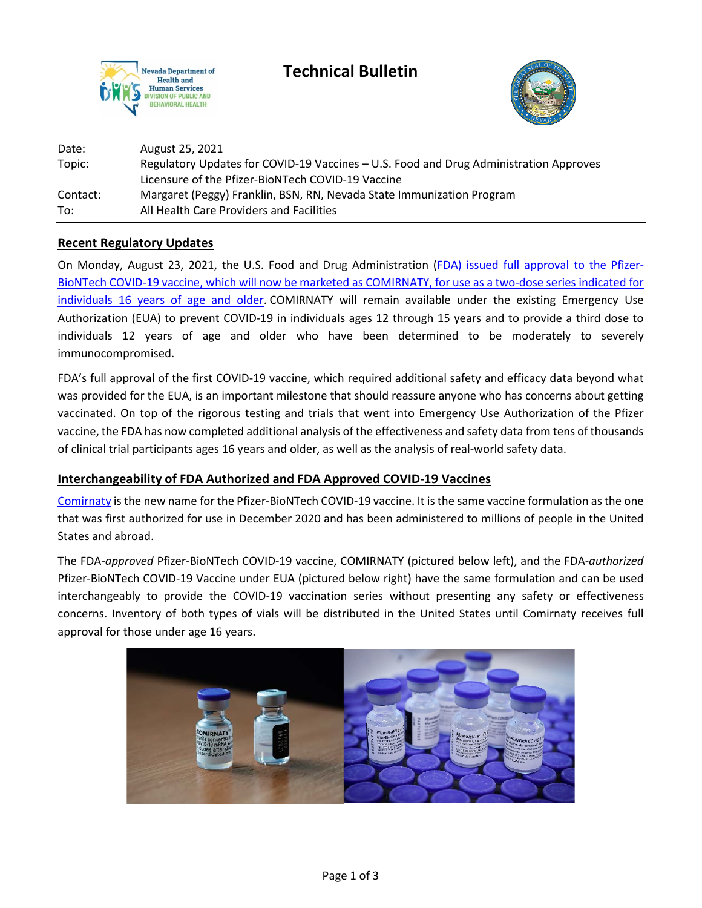

**Technical Bulletin**



| Date:    | August 25, 2021                                                                       |
|----------|---------------------------------------------------------------------------------------|
| Topic:   | Regulatory Updates for COVID-19 Vaccines - U.S. Food and Drug Administration Approves |
|          | Licensure of the Pfizer-BioNTech COVID-19 Vaccine                                     |
| Contact: | Margaret (Peggy) Franklin, BSN, RN, Nevada State Immunization Program                 |
| To:      | All Health Care Providers and Facilities                                              |

### **Recent Regulatory Updates**

On Monday, August 23, 2021, the U.S. Food and Drug Administration [\(FDA\) issued full](https://www.fda.gov/news-events/press-announcements/fda-approves-first-covid-19-vaccine) approval to the Pfizer-BioNTech COVID-19 vaccine, which will now be marketed as [COMIRNATY, for use as a two-dose series indicated for](https://www.fda.gov/news-events/press-announcements/fda-approves-first-covid-19-vaccine)  [individuals 16 years of age and older.](https://www.fda.gov/news-events/press-announcements/fda-approves-first-covid-19-vaccine) COMIRNATY will remain available under the existing Emergency Use Authorization (EUA) to prevent COVID-19 in individuals ages 12 through 15 years and to provide a third dose to individuals 12 years of age and older who have been determined to be moderately to severely immunocompromised.

FDA's full approval of the first COVID-19 vaccine, which required additional safety and efficacy data beyond what was provided for the EUA, is an important milestone that should reassure anyone who has concerns about getting vaccinated. On top of the rigorous testing and trials that went into Emergency Use Authorization of the Pfizer vaccine, the FDA has now completed additional analysis of the effectiveness and safety data from tens of thousands of clinical trial participants ages 16 years and older, as well as the analysis of real-world safety data.

### **Interchangeability of FDA Authorized and FDA Approved COVID-19 Vaccines**

[Comirnaty](https://www.fda.gov/vaccines-blood-biologics/comirnaty) is the new name for the Pfizer-BioNTech COVID-19 vaccine. It is the same vaccine formulation as the one that was first authorized for use in December 2020 and has been administered to millions of people in the United States and abroad.

The FDA-*approved* Pfizer-BioNTech COVID-19 vaccine, COMIRNATY (pictured below left), and the FDA-*authorized*  Pfizer-BioNTech COVID-19 Vaccine under EUA (pictured below right) have the same formulation and can be used interchangeably to provide the COVID-19 vaccination series without presenting any safety or effectiveness concerns. Inventory of both types of vials will be distributed in the United States until Comirnaty receives full approval for those under age 16 years.

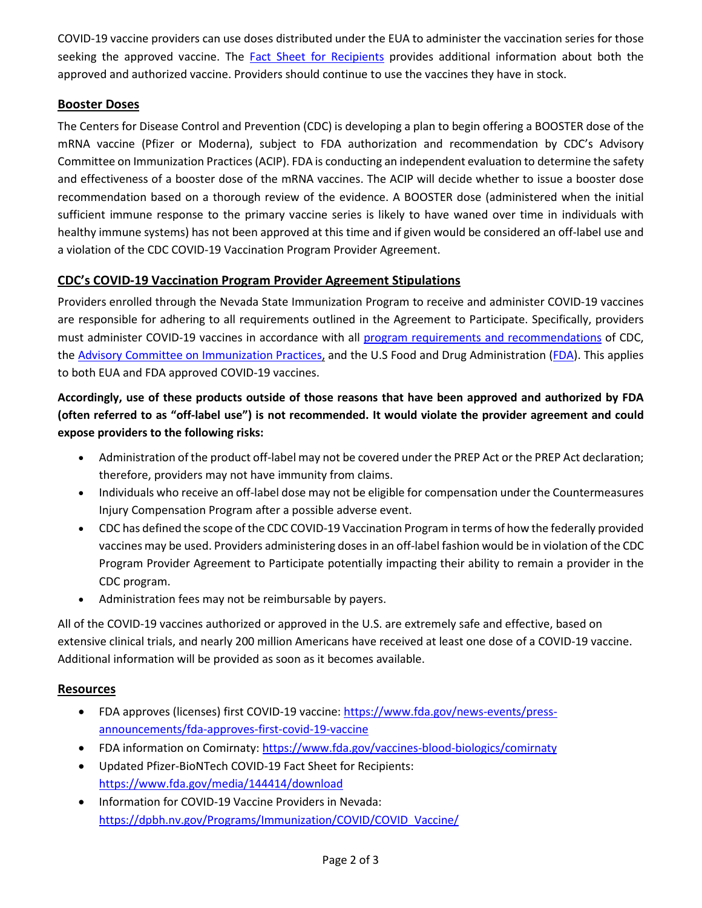COVID-19 vaccine providers can use doses distributed under the EUA to administer the vaccination series for those seeking the approved vaccine. The [Fact Sheet for Recipients](https://www.fda.gov/media/144414/download) provides additional information about both the approved and authorized vaccine. Providers should continue to use the vaccines they have in stock.

## **Booster Doses**

The Centers for Disease Control and Prevention (CDC) is developing a plan to begin offering a BOOSTER dose of the mRNA vaccine (Pfizer or Moderna), subject to FDA authorization and recommendation by CDC's Advisory Committee on Immunization Practices (ACIP). FDA is conducting an independent evaluation to determine the safety and effectiveness of a booster dose of the mRNA vaccines. The ACIP will decide whether to issue a booster dose recommendation based on a thorough review of the evidence. A BOOSTER dose (administered when the initial sufficient immune response to the primary vaccine series is likely to have waned over time in individuals with healthy immune systems) has not been approved at this time and if given would be considered an off-label use and a violation of the CDC COVID-19 Vaccination Program Provider Agreement.

# **CDC's COVID-19 Vaccination Program Provider Agreement Stipulations**

Providers enrolled through the Nevada State Immunization Program to receive and administer COVID-19 vaccines are responsible for adhering to all requirements outlined in the Agreement to Participate. Specifically, providers must administer COVID-19 vaccines in accordance with all [program requirements and recommendations](https://www.cdc.gov/vaccines/covid-19/vaccination-provider-support.html) of CDC, the [Advisory Committee on Immunization Practices,](https://www.cdc.gov/vaccines/hcp/acip-recs/vacc-specific/covid-19.html) and the U.S Food and Drug Administration [\(FDA\)](https://www.fda.gov/emergency-preparedness-and-response/coronavirus-disease-2019-covid-19/covid-19-vaccines). This applies to both EUA and FDA approved COVID-19 vaccines.

# **Accordingly, use of these products outside of those reasons that have been approved and authorized by FDA (often referred to as "off-label use") is not recommended. It would violate the provider agreement and could expose providers to the following risks:**

- Administration of the product off-label may not be covered under the PREP Act or the PREP Act declaration; therefore, providers may not have immunity from claims.
- Individuals who receive an off-label dose may not be eligible for compensation under the Countermeasures Injury Compensation Program after a possible adverse event.
- CDC has defined the scope of the CDC COVID-19 Vaccination Program in terms of how the federally provided vaccines may be used. Providers administering doses in an off-label fashion would be in violation of the CDC Program Provider Agreement to Participate potentially impacting their ability to remain a provider in the CDC program.
- Administration fees may not be reimbursable by payers.

All of the COVID-19 vaccines authorized or approved in the U.S. are extremely safe and effective, based on extensive clinical trials, and nearly 200 million Americans have received at least one dose of a COVID-19 vaccine. Additional information will be provided as soon as it becomes available.

## **Resources**

- FDA approves (licenses) first COVID-19 vaccine: [https://www.fda.gov/news-events/press](https://www.fda.gov/news-events/press-announcements/fda-approves-first-covid-19-vaccine)[announcements/fda-approves-first-covid-19-vaccine](https://www.fda.gov/news-events/press-announcements/fda-approves-first-covid-19-vaccine)
- FDA information on Comirnaty[: https://www.fda.gov/vaccines-blood-biologics/comirnaty](https://www.fda.gov/vaccines-blood-biologics/comirnaty)
- Updated Pfizer-BioNTech COVID-19 Fact Sheet for Recipients: <https://www.fda.gov/media/144414/download>
- Information for COVID-19 Vaccine Providers in Nevada: [https://dpbh.nv.gov/Programs/Immunization/COVID/COVID\\_Vaccine/](https://dpbh.nv.gov/Programs/Immunization/COVID/COVID_Vaccine/)